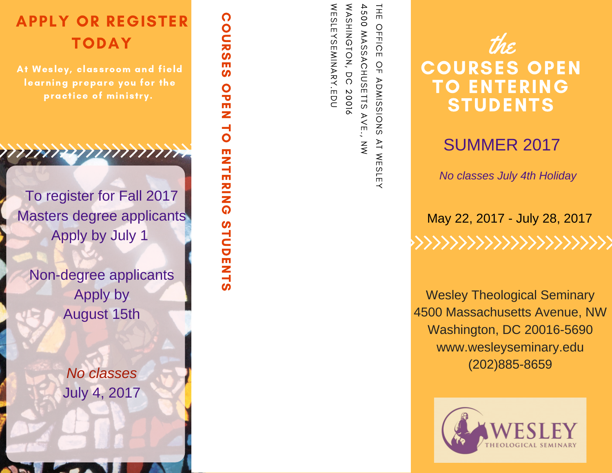# APPLY OR REGISTER **TODAY**

COURSES

COURSES

O<br>D<br>E<br>N<br>E

TO

**ENTERING** 

STUDENTS

STUDENTS

At Wesley, classroom and field learning prepare you for the practice of ministry.

To register for Fall 2017 Masters degree applicants Apply by July 1

777777

Non-degree applicants Apply by August 15th

> *Mo classes* July 4, 2017

4500  $\mathsf{R}_{\overline{1}}$ WESLEYSEMINARY.EDU WASHINGTON, WASHINGTON,  $H_{\text{H}}$ ö OFFICE 듀 MASSACHUSETTS AVE., MASSACHUSETTS **YSEMINARY.EDU**  $\frac{O}{T}$  $\overline{O}$ **ADMISSIONS** ADMISSIONS 20016 .<br>W  $\geq$ WESLEY



## **SUMMER 2017**

**No classes July 4th Holiday** 

May 22, 2017 - July 28, 2017 

Wesley Theological Seminary 4500 Massachusetts Avenue, NW Washington, DC 20016-5690 www.wesleyseminary.edu ( 2 0 2 ) 8 8 5 - 8 6 5 9